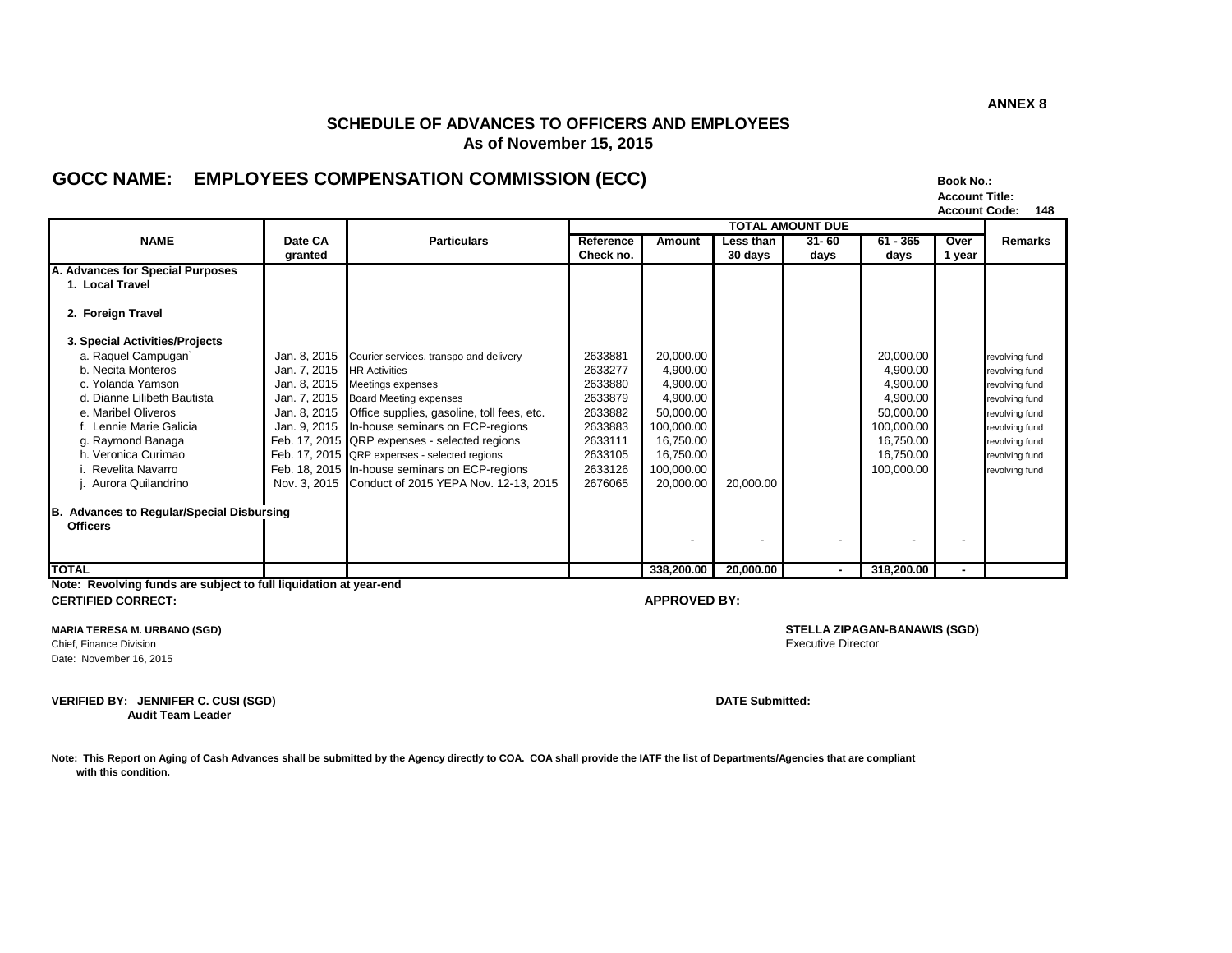### **SCHEDULE OF ADVANCES TO OFFICERS AND EMPLOYEES As of November 15, 2015**

## **GOCC NAME: EMPLOYEES COMPENSATION COMMISSION (ECC) Book No.:**

| <b>Book No.:</b>      |     |
|-----------------------|-----|
| <b>Account Title:</b> |     |
| <b>Account Code:</b>  | 148 |

|                                                                         |              |                                                         | <b>TOTAL AMOUNT DUE</b> |            |                          |           |            |        |                |
|-------------------------------------------------------------------------|--------------|---------------------------------------------------------|-------------------------|------------|--------------------------|-----------|------------|--------|----------------|
| <b>NAME</b>                                                             | Date CA      | <b>Particulars</b>                                      | Reference               | Amount     | Less than                | $31 - 60$ | $61 - 365$ | Over   | Remarks        |
|                                                                         | granted      |                                                         | Check no.               |            | 30 days                  | days      | days       | 1 year |                |
| A. Advances for Special Purposes                                        |              |                                                         |                         |            |                          |           |            |        |                |
| 1. Local Travel                                                         |              |                                                         |                         |            |                          |           |            |        |                |
| 2. Foreign Travel                                                       |              |                                                         |                         |            |                          |           |            |        |                |
| 3. Special Activities/Projects                                          |              |                                                         |                         |            |                          |           |            |        |                |
| a. Raquel Campugan                                                      |              | Jan. 8, 2015 Courier services, transpo and delivery     | 2633881                 | 20,000.00  |                          |           | 20,000.00  |        | revolving fund |
| b. Necita Monteros                                                      | Jan. 7, 2015 | <b>HR</b> Activities                                    | 2633277                 | 4,900.00   |                          |           | 4,900.00   |        | revolving fund |
| c. Yolanda Yamson                                                       | Jan. 8, 2015 | Meetings expenses                                       | 2633880                 | 4,900.00   |                          |           | 4,900.00   |        | revolving fund |
| d. Dianne Lilibeth Bautista                                             | Jan. 7, 2015 | <b>Board Meeting expenses</b>                           | 2633879                 | 4,900.00   |                          |           | 4,900.00   |        | revolving fund |
| e. Maribel Oliveros                                                     |              | Jan. 8, 2015 Office supplies, gasoline, toll fees, etc. | 2633882                 | 50,000.00  |                          |           | 50,000.00  |        | revolving fund |
| f. Lennie Marie Galicia                                                 |              | Jan. 9, 2015 In-house seminars on ECP-regions           | 2633883                 | 100,000.00 |                          |           | 100,000.00 |        | revolving fund |
| g. Raymond Banaga                                                       |              | Feb. 17, 2015 QRP expenses - selected regions           | 2633111                 | 16,750.00  |                          |           | 16,750.00  |        | revolving fund |
| h. Veronica Curimao                                                     |              | Feb. 17, 2015 QRP expenses - selected regions           | 2633105                 | 16,750.00  |                          |           | 16,750.00  |        | revolving fund |
| Revelita Navarro                                                        |              | Feb. 18, 2015 In-house seminars on ECP-regions          | 2633126                 | 100,000.00 |                          |           | 100,000.00 |        | revolving fund |
| Aurora Quilandrino                                                      |              | Nov. 3, 2015 Conduct of 2015 YEPA Nov. 12-13, 2015      | 2676065                 | 20,000.00  | 20,000.00                |           |            |        |                |
| <b>Advances to Regular/Special Disbursing</b><br>IB.<br><b>Officers</b> |              |                                                         |                         |            |                          |           |            |        |                |
|                                                                         |              |                                                         |                         |            | $\overline{\phantom{a}}$ |           |            |        |                |
| <b>TOTAL</b>                                                            |              |                                                         |                         | 338,200.00 | 20,000.00                | $\sim$    | 318,200.00 |        |                |

**Note: Revolving funds are subject to full liquidation at year-end CERTIFIED CORRECT: APPROVED BY:**

Chief, Finance Division Date: November 16, 2015

**VERIFIED BY: JENNIFER C. CUSI (SGD) DATE Submitted: Audit Team Leader**

**Note: This Report on Aging of Cash Advances shall be submitted by the Agency directly to COA. COA shall provide the IATF the list of Departments/Agencies that are compliant with this condition.**

**MARIA TERESA M. URBANO (SGD) STELLA ZIPAGAN-BANAWIS (SGD)**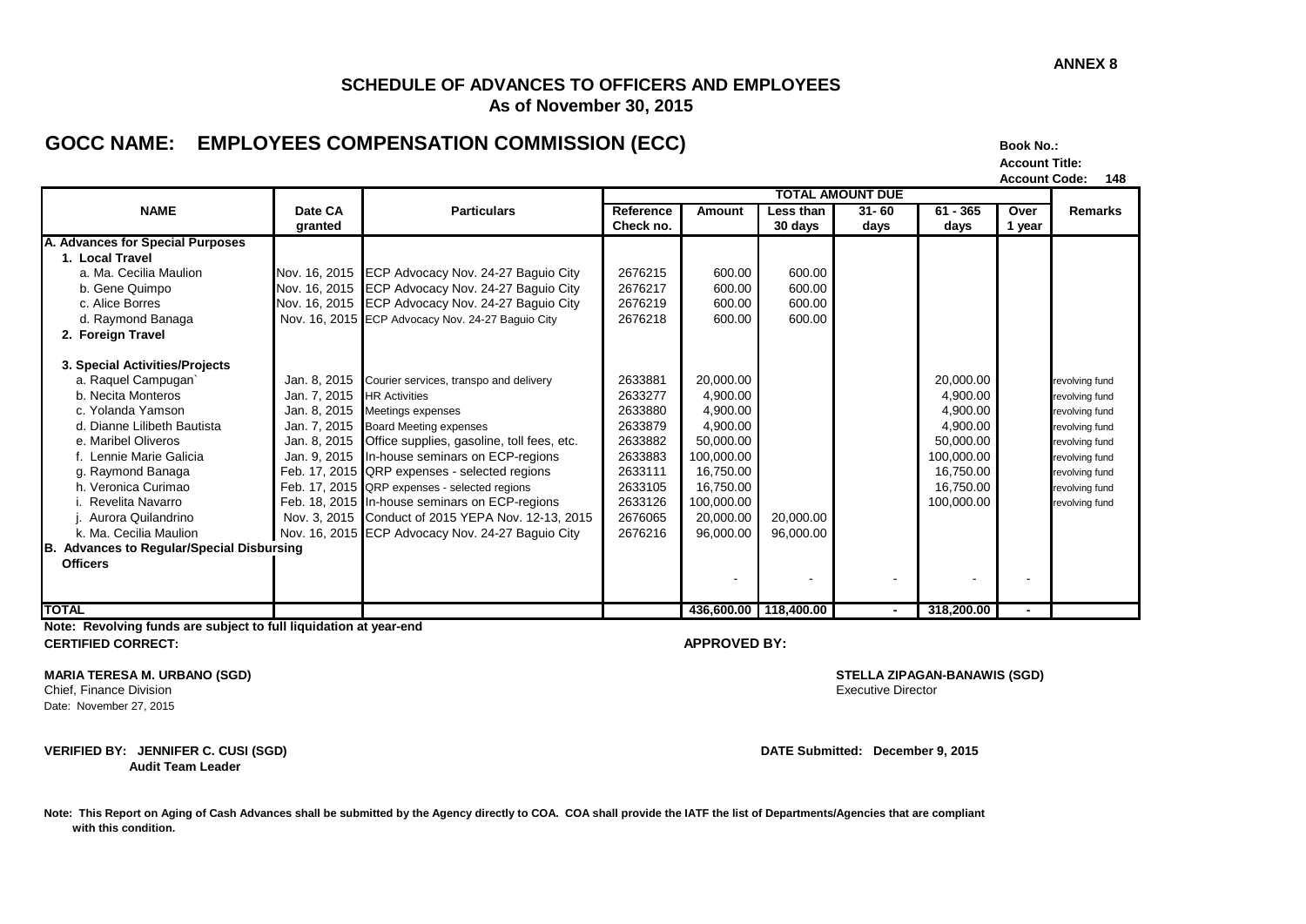### **SCHEDULE OF ADVANCES TO OFFICERS AND EMPLOYEES As of November 30, 2015**

# GOCC NAME: EMPLOYEES COMPENSATION COMMISSION (ECC) BOOK NO.:

**Account Title: Account Code: 148**

|                                                      |              |                                                          | <b>TOTAL AMOUNT DUE</b> |                       |           |                |            |        |                |
|------------------------------------------------------|--------------|----------------------------------------------------------|-------------------------|-----------------------|-----------|----------------|------------|--------|----------------|
| <b>NAME</b>                                          | Date CA      | <b>Particulars</b>                                       | Reference               | <b>Amount</b>         | Less than | $31 - 60$      | $61 - 365$ | Over   | <b>Remarks</b> |
|                                                      | granted      |                                                          | Check no.               |                       | 30 days   | days           | days       | 1 year |                |
| A. Advances for Special Purposes                     |              |                                                          |                         |                       |           |                |            |        |                |
| 1. Local Travel                                      |              |                                                          |                         |                       |           |                |            |        |                |
| a. Ma. Cecilia Maulion                               |              | Nov. 16, 2015 ECP Advocacy Nov. 24-27 Baguio City        | 2676215                 | 600.00                | 600.00    |                |            |        |                |
| b. Gene Quimpo                                       |              | Nov. 16, 2015 ECP Advocacy Nov. 24-27 Baguio City        | 2676217                 | 600.00                | 600.00    |                |            |        |                |
| c. Alice Borres                                      |              | Nov. 16, 2015 ECP Advocacy Nov. 24-27 Baguio City        | 2676219                 | 600.00                | 600.00    |                |            |        |                |
| d. Raymond Banaga                                    |              | Nov. 16, 2015 ECP Advocacy Nov. 24-27 Baguio City        | 2676218                 | 600.00                | 600.00    |                |            |        |                |
| 2. Foreign Travel                                    |              |                                                          |                         |                       |           |                |            |        |                |
|                                                      |              |                                                          |                         |                       |           |                |            |        |                |
| 3. Special Activities/Projects                       |              |                                                          |                         |                       |           |                |            |        |                |
| a. Raquel Campugan`                                  | Jan. 8, 2015 | Courier services, transpo and delivery                   | 2633881                 | 20,000.00             |           |                | 20,000.00  |        | revolving fund |
| b. Necita Monteros                                   | Jan. 7, 2015 | <b>HR</b> Activities                                     | 2633277                 | 4,900.00              |           |                | 4.900.00   |        | revolving fund |
| c. Yolanda Yamson                                    |              | Jan. 8, 2015 Meetings expenses                           | 2633880                 | 4,900.00              |           |                | 4,900.00   |        | revolving fund |
| d. Dianne Lilibeth Bautista                          |              | Jan. 7, 2015 Board Meeting expenses                      | 2633879                 | 4,900.00              |           |                | 4.900.00   |        | revolving fund |
| e. Maribel Oliveros                                  |              | Jan. 8, 2015  Office supplies, gasoline, toll fees, etc. | 2633882                 | 50.000.00             |           |                | 50.000.00  |        | revolving fund |
| f. Lennie Marie Galicia                              |              | Jan. 9, 2015 In-house seminars on ECP-regions            | 2633883                 | 100,000.00            |           |                | 100,000.00 |        | revolving fund |
| g. Raymond Banaga                                    |              | Feb. 17, 2015 QRP expenses - selected regions            | 2633111                 | 16,750.00             |           |                | 16,750.00  |        | revolving fund |
| h. Veronica Curimao                                  |              | Feb. 17, 2015 QRP expenses - selected regions            | 2633105                 | 16,750.00             |           |                | 16,750.00  |        | revolving fund |
| i. Revelita Navarro                                  |              | Feb. 18, 2015 In-house seminars on ECP-regions           | 2633126                 | 100,000.00            |           |                | 100,000.00 |        | revolving fund |
| Aurora Quilandrino                                   |              | Nov. 3, 2015 Conduct of 2015 YEPA Nov. 12-13, 2015       | 2676065                 | 20,000.00             | 20,000.00 |                |            |        |                |
| k. Ma. Cecilia Maulion                               |              | Nov. 16, 2015 ECP Advocacy Nov. 24-27 Baguio City        | 2676216                 | 96,000.00             | 96.000.00 |                |            |        |                |
| <b>Advances to Regular/Special Disbursing</b><br>IB. |              |                                                          |                         |                       |           |                |            |        |                |
| <b>Officers</b>                                      |              |                                                          |                         |                       |           |                |            |        |                |
|                                                      |              |                                                          |                         |                       |           |                |            |        |                |
|                                                      |              |                                                          |                         |                       |           |                |            |        |                |
| <b>TOTAL</b>                                         |              |                                                          |                         | 436,600.00 118,400.00 |           | $\blacksquare$ | 318,200.00 |        |                |

**Note: Revolving funds are subject to full liquidation at year-end CERTIFIED CORRECT: APPROVED BY:**

**MARIA TERESA M. URBANO (SGD) STELLA ZIPAGAN-BANAWIS (SGD)**

Date: November 27, 2015

**VERIFIED BY: JENNIFER C. CUSI (SGD) DATE Submitted: December 9, 2015**

 **Audit Team Leader**

Chief, Finance Division Executive Director

Note: This Report on Aging of Cash Advances shall be submitted by the Agency directly to COA. COA shall provide the IATF the list of Departments/Agencies that are compliant  **with this condition.**